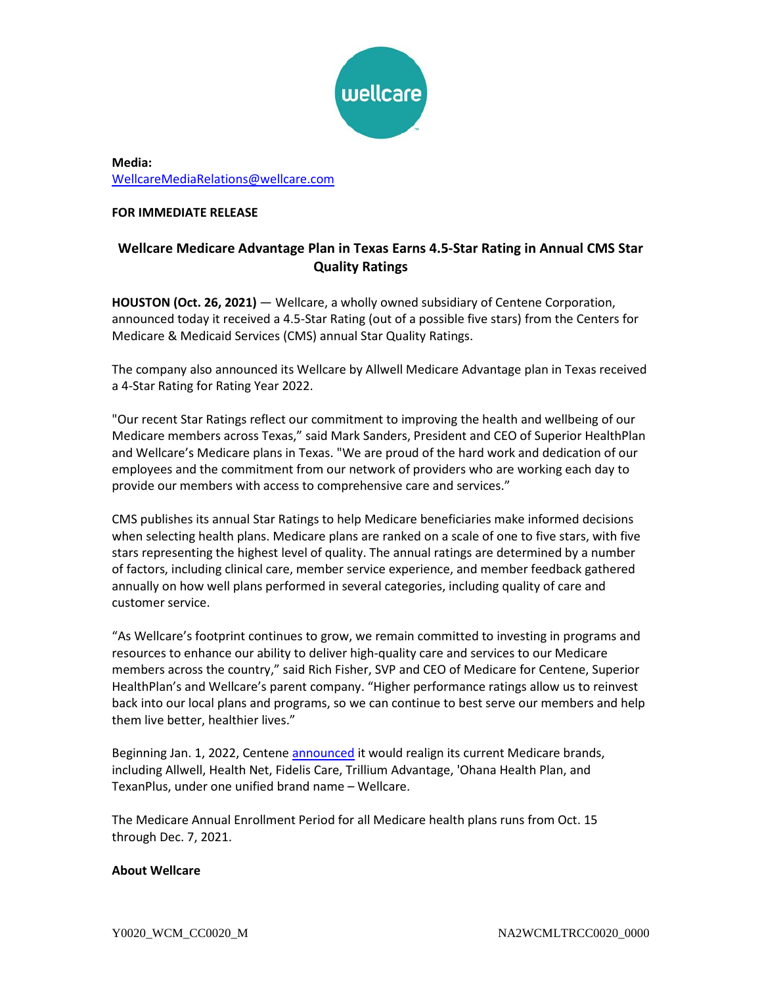

## **Media:** [WellcareMediaRelations@wellcare.com](mailto:WellcareMediaRelations@wellcare.com)

### **FOR IMMEDIATE RELEASE**

# **Wellcare Medicare Advantage Plan in Texas Earns 4.5-Star Rating in Annual CMS Star Quality Ratings**

**HOUSTON (Oct. 26, 2021)** — Wellcare, a wholly owned subsidiary of Centene Corporation, announced today it received a 4.5-Star Rating (out of a possible five stars) from the Centers for Medicare & Medicaid Services (CMS) annual Star Quality Ratings.

The company also announced its Wellcare by Allwell Medicare Advantage plan in Texas received a 4-Star Rating for Rating Year 2022.

"Our recent Star Ratings reflect our commitment to improving the health and wellbeing of our Medicare members across Texas," said Mark Sanders, President and CEO of Superior HealthPlan and Wellcare's Medicare plans in Texas. "We are proud of the hard work and dedication of our employees and the commitment from our network of providers who are working each day to provide our members with access to comprehensive care and services."

CMS publishes its annual Star Ratings to help Medicare beneficiaries make informed decisions when selecting health plans. Medicare plans are ranked on a scale of one to five stars, with five stars representing the highest level of quality. The annual ratings are determined by a number of factors, including clinical care, member service experience, and member feedback gathered annually on how well plans performed in several categories, including quality of care and customer service.

"As Wellcare's footprint continues to grow, we remain committed to investing in programs and resources to enhance our ability to deliver high-quality care and services to our Medicare members across the country," said Rich Fisher, SVP and CEO of Medicare for Centene, Superior HealthPlan's and Wellcare's parent company. "Higher performance ratings allow us to reinvest back into our local plans and programs, so we can continue to best serve our members and help them live better, healthier lives."

Beginning Jan. 1, 2022, Centene [announced](https://www.prnewswire.com/news-releases/wellcare-announces-refreshed-brand-in-effort-to-better-serve-medicare-members-301366933.html) it would realign its current Medicare brands, including Allwell, Health Net, Fidelis Care, Trillium Advantage, 'Ohana Health Plan, and TexanPlus, under one unified brand name – Wellcare.

The Medicare Annual Enrollment Period for all Medicare health plans runs from Oct. 15 through Dec. 7, 2021.

### **About Wellcare**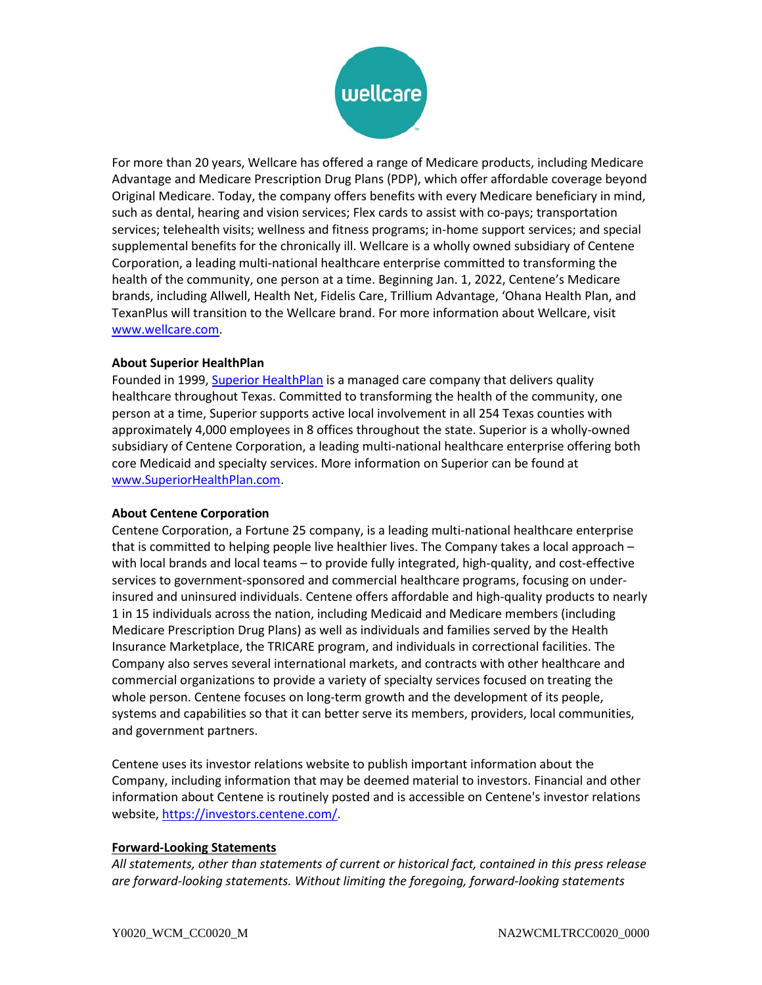

For more than 20 years, Wellcare has offered a range of Medicare products, including Medicare Advantage and Medicare Prescription Drug Plans (PDP), which offer affordable coverage beyond Original Medicare. Today, the company offers benefits with every Medicare beneficiary in mind, such as dental, hearing and vision services; Flex cards to assist with co-pays; transportation services; telehealth visits; wellness and fitness programs; in-home support services; and special supplemental benefits for the chronically ill. Wellcare is a wholly owned subsidiary of Centene Corporation, a leading multi-national healthcare enterprise committed to transforming the health of the community, one person at a time. Beginning Jan. 1, 2022, Centene's Medicare brands, including Allwell, Health Net, Fidelis Care, Trillium Advantage, 'Ohana Health Plan, and TexanPlus will transition to the Wellcare brand. For more information about Wellcare, visit [www.wellcare.com.](http://www.wellcare.com/)

### **About Superior HealthPlan**

Founded in 1999, [Superior HealthPlan](http://www.superiorhealthplan.com/) is a managed care company that delivers quality healthcare throughout Texas. Committed to transforming the health of the community, one person at a time, Superior supports active local involvement in all 254 Texas counties with approximately 4,000 employees in 8 offices throughout the state. Superior is a wholly-owned subsidiary of Centene Corporation, a leading multi-national healthcare enterprise offering both core Medicaid and specialty services. More information on Superior can be found at [www.SuperiorHealthPlan.com.](http://www.superiorhealthplan.com/)

### **About Centene Corporation**

Centene Corporation, a Fortune 25 company, is a leading multi-national healthcare enterprise that is committed to helping people live healthier lives. The Company takes a local approach – with local brands and local teams – to provide fully integrated, high-quality, and cost-effective services to government-sponsored and commercial healthcare programs, focusing on underinsured and uninsured individuals. Centene offers affordable and high-quality products to nearly 1 in 15 individuals across the nation, including Medicaid and Medicare members (including Medicare Prescription Drug Plans) as well as individuals and families served by the Health Insurance Marketplace, the TRICARE program, and individuals in correctional facilities. The Company also serves several international markets, and contracts with other healthcare and commercial organizations to provide a variety of specialty services focused on treating the whole person. Centene focuses on long-term growth and the development of its people, systems and capabilities so that it can better serve its members, providers, local communities, and government partners.

Centene uses its investor relations website to publish important information about the Company, including information that may be deemed material to investors. Financial and other information about Centene is routinely posted and is accessible on Centene's investor relations website, [https://investors.centene.com/.](https://investors.centene.com/)

### **Forward-Looking Statements**

*All statements, other than statements of current or historical fact, contained in this press release are forward-looking statements. Without limiting the foregoing, forward-looking statements*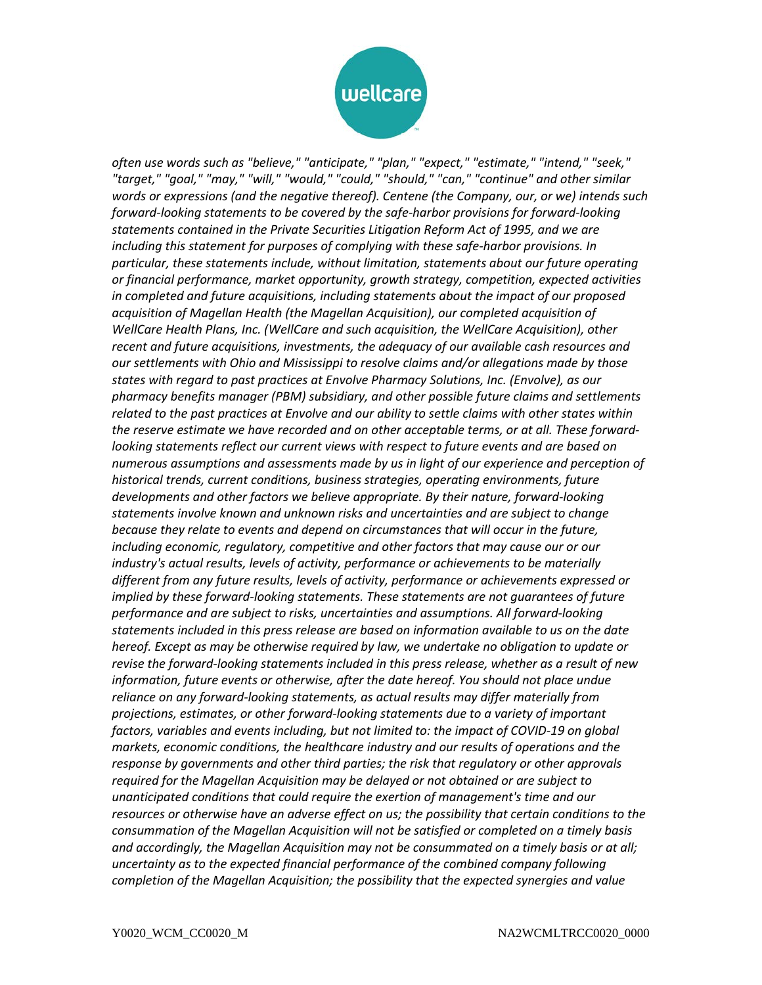

*often use words such as "believe," "anticipate," "plan," "expect," "estimate," "intend," "seek," "target," "goal," "may," "will," "would," "could," "should," "can," "continue" and other similar words or expressions (and the negative thereof). Centene (the Company, our, or we) intends such forward-looking statements to be covered by the safe-harbor provisions for forward-looking statements contained in the Private Securities Litigation Reform Act of 1995, and we are including this statement for purposes of complying with these safe-harbor provisions. In particular, these statements include, without limitation, statements about our future operating or financial performance, market opportunity, growth strategy, competition, expected activities in completed and future acquisitions, including statements about the impact of our proposed acquisition of Magellan Health (the Magellan Acquisition), our completed acquisition of WellCare Health Plans, Inc. (WellCare and such acquisition, the WellCare Acquisition), other recent and future acquisitions, investments, the adequacy of our available cash resources and our settlements with Ohio and Mississippi to resolve claims and/or allegations made by those states with regard to past practices at Envolve Pharmacy Solutions, Inc. (Envolve), as our pharmacy benefits manager (PBM) subsidiary, and other possible future claims and settlements related to the past practices at Envolve and our ability to settle claims with other states within the reserve estimate we have recorded and on other acceptable terms, or at all. These forwardlooking statements reflect our current views with respect to future events and are based on numerous assumptions and assessments made by us in light of our experience and perception of historical trends, current conditions, business strategies, operating environments, future developments and other factors we believe appropriate. By their nature, forward-looking statements involve known and unknown risks and uncertainties and are subject to change because they relate to events and depend on circumstances that will occur in the future, including economic, regulatory, competitive and other factors that may cause our or our industry's actual results, levels of activity, performance or achievements to be materially different from any future results, levels of activity, performance or achievements expressed or implied by these forward-looking statements. These statements are not guarantees of future performance and are subject to risks, uncertainties and assumptions. All forward-looking statements included in this press release are based on information available to us on the date hereof. Except as may be otherwise required by law, we undertake no obligation to update or revise the forward-looking statements included in this press release, whether as a result of new information, future events or otherwise, after the date hereof. You should not place undue reliance on any forward-looking statements, as actual results may differ materially from projections, estimates, or other forward-looking statements due to a variety of important factors, variables and events including, but not limited to: the impact of COVID-19 on global markets, economic conditions, the healthcare industry and our results of operations and the response by governments and other third parties; the risk that regulatory or other approvals required for the Magellan Acquisition may be delayed or not obtained or are subject to unanticipated conditions that could require the exertion of management's time and our resources or otherwise have an adverse effect on us; the possibility that certain conditions to the consummation of the Magellan Acquisition will not be satisfied or completed on a timely basis and accordingly, the Magellan Acquisition may not be consummated on a timely basis or at all; uncertainty as to the expected financial performance of the combined company following completion of the Magellan Acquisition; the possibility that the expected synergies and value*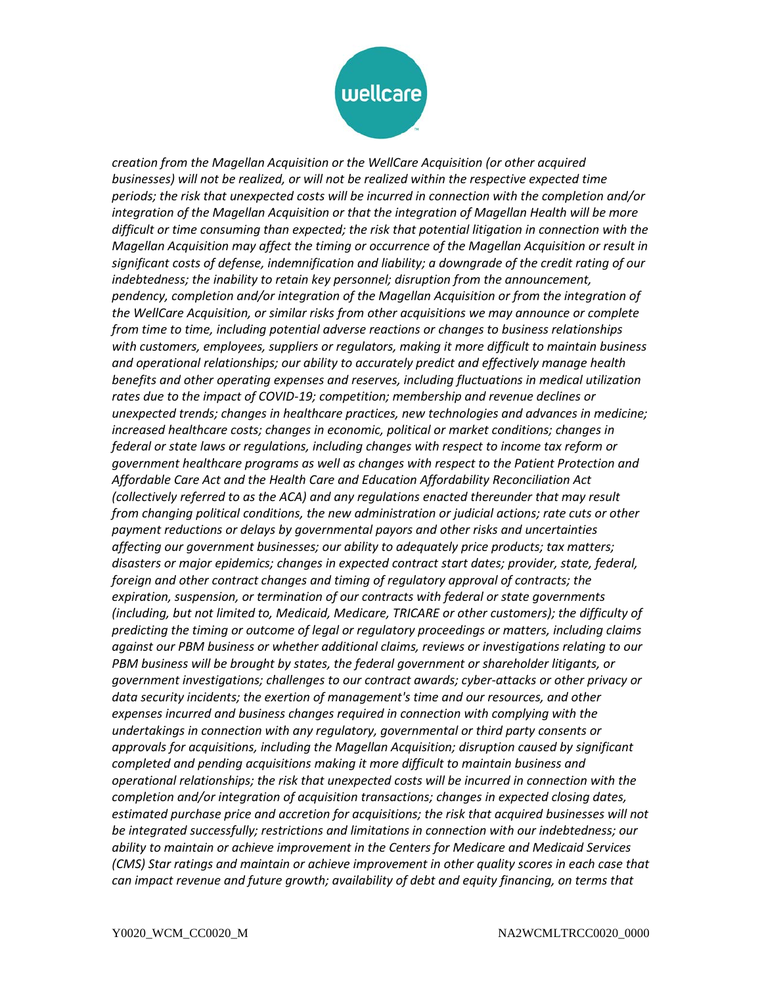

*creation from the Magellan Acquisition or the WellCare Acquisition (or other acquired businesses) will not be realized, or will not be realized within the respective expected time periods; the risk that unexpected costs will be incurred in connection with the completion and/or integration of the Magellan Acquisition or that the integration of Magellan Health will be more difficult or time consuming than expected; the risk that potential litigation in connection with the Magellan Acquisition may affect the timing or occurrence of the Magellan Acquisition or result in significant costs of defense, indemnification and liability; a downgrade of the credit rating of our indebtedness; the inability to retain key personnel; disruption from the announcement, pendency, completion and/or integration of the Magellan Acquisition or from the integration of the WellCare Acquisition, or similar risks from other acquisitions we may announce or complete from time to time, including potential adverse reactions or changes to business relationships with customers, employees, suppliers or regulators, making it more difficult to maintain business and operational relationships; our ability to accurately predict and effectively manage health benefits and other operating expenses and reserves, including fluctuations in medical utilization rates due to the impact of COVID-19; competition; membership and revenue declines or unexpected trends; changes in healthcare practices, new technologies and advances in medicine; increased healthcare costs; changes in economic, political or market conditions; changes in federal or state laws or regulations, including changes with respect to income tax reform or government healthcare programs as well as changes with respect to the Patient Protection and Affordable Care Act and the Health Care and Education Affordability Reconciliation Act (collectively referred to as the ACA) and any regulations enacted thereunder that may result from changing political conditions, the new administration or judicial actions; rate cuts or other payment reductions or delays by governmental payors and other risks and uncertainties affecting our government businesses; our ability to adequately price products; tax matters; disasters or major epidemics; changes in expected contract start dates; provider, state, federal, foreign and other contract changes and timing of regulatory approval of contracts; the expiration, suspension, or termination of our contracts with federal or state governments (including, but not limited to, Medicaid, Medicare, TRICARE or other customers); the difficulty of predicting the timing or outcome of legal or regulatory proceedings or matters, including claims against our PBM business or whether additional claims, reviews or investigations relating to our PBM business will be brought by states, the federal government or shareholder litigants, or government investigations; challenges to our contract awards; cyber-attacks or other privacy or data security incidents; the exertion of management's time and our resources, and other expenses incurred and business changes required in connection with complying with the undertakings in connection with any regulatory, governmental or third party consents or approvals for acquisitions, including the Magellan Acquisition; disruption caused by significant completed and pending acquisitions making it more difficult to maintain business and operational relationships; the risk that unexpected costs will be incurred in connection with the completion and/or integration of acquisition transactions; changes in expected closing dates,*  estimated purchase price and accretion for acquisitions; the risk that acquired businesses will not *be integrated successfully; restrictions and limitations in connection with our indebtedness; our ability to maintain or achieve improvement in the Centers for Medicare and Medicaid Services (CMS) Star ratings and maintain or achieve improvement in other quality scores in each case that can impact revenue and future growth; availability of debt and equity financing, on terms that*